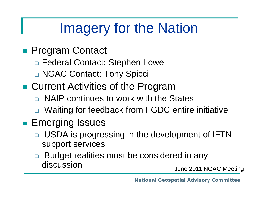## Imagery for the Nation

- Program Contact
	- □ Federal Contact: Stephen Lowe
	- NGAC Contact: Tony Spicci
- Current Activities of the Program
	- □ NAIP continues to work with the States
	- □ Waiting for feedback from FGDC entire initiative

### ■ Emerging Issues

- □ USDA is progressing in the development of IFTN support services
- □ Budget realities must be considered in any discussion

June 2011 NGAC Meeting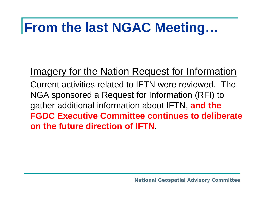### **From the last NGAC Meeting…**

#### Imagery for the Nation Request for Information

Current activities related to IFTN were reviewed. The NGA sponsored a Request for Information (RFI) to gather additional information about IFTN, **and the FGDC Executive Committee continues to deliberate on the future direction of IFTN**.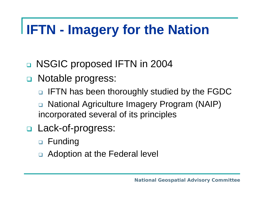# **IFTN - Imagery for the Nation**

- $\Box$ NSGIC proposed IFTN in 2004
- Notable progress:
	- $\Box$ IFTN has been thoroughly studied by the FGDC
	- $\Box$  National Agriculture Imagery Program (NAIP) incorporated several of its principles
- Lack-of-progress:
	- Funding
	- $\Box$ Adoption at the Federal level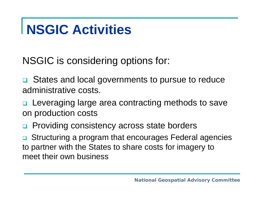### **NSGIC Activities**

NSGIC is considering options for:

**□** States and local governments to pursue to reduce administrative costs.

□ Leveraging large area contracting methods to save on production costs

 $\Box$ Providing consistency across state borders

 $\Box$  Structuring a program that encourages Federal agencies to partner with the States to share costs for imagery to meet their own business